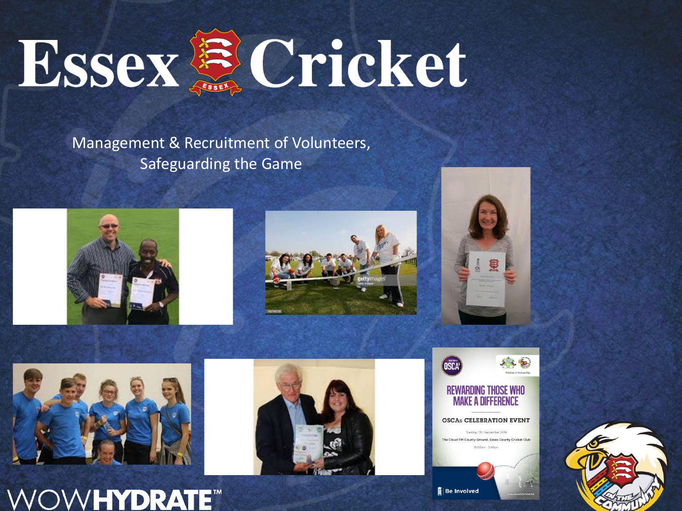

Management & Recruitment of Volunteers, Safeguarding the Game

















**輩** Be Involved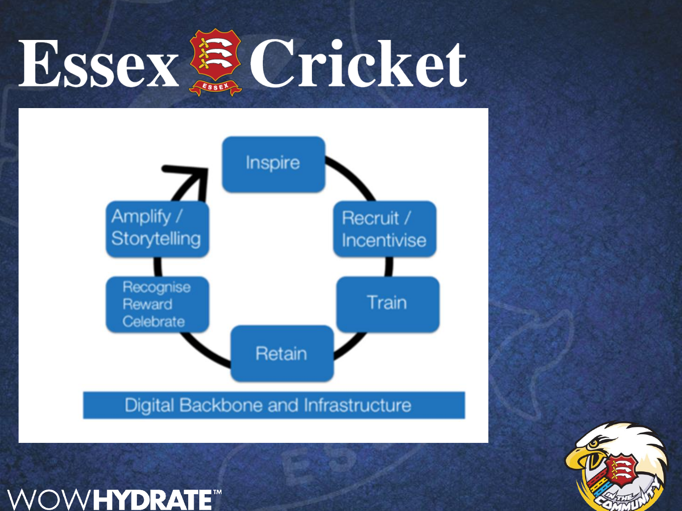# Essex & Cricket



Digital Backbone and Infrastructure

**OWHYDRATE<sup>TM</sup>** 

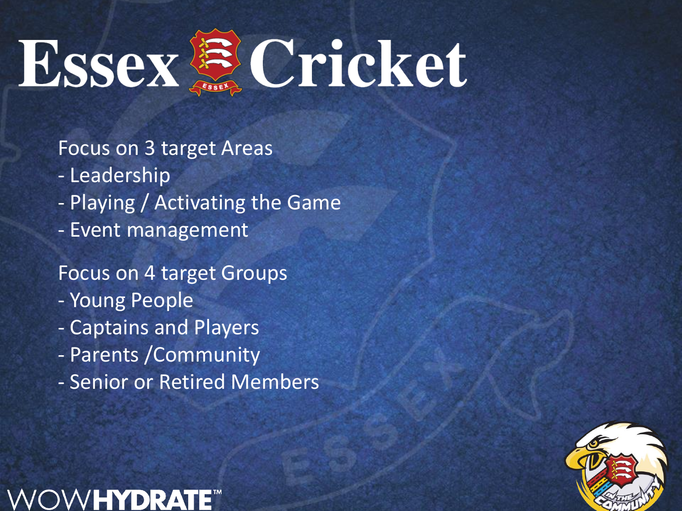

Focus on 3 target Areas

- Leadership
- Playing / Activating the Game
- Event management

Focus on 4 target Groups

- Young People
- Captains and Players
- Parents /Community
- Senior or Retired Members

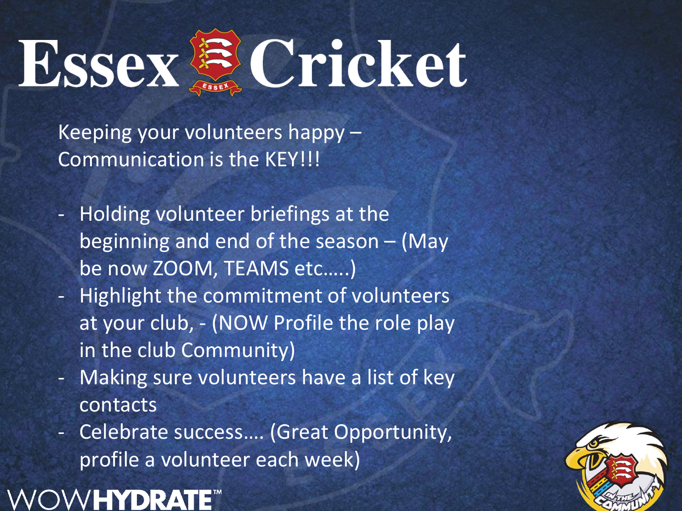Essex & Cricket

Keeping your volunteers happy – Communication is the KEY!!!

- Holding volunteer briefings at the beginning and end of the season – (May be now ZOOM, TEAMS etc…..)
- Highlight the commitment of volunteers at your club, - (NOW Profile the role play in the club Community)
- Making sure volunteers have a list of key contacts
- Celebrate success…. (Great Opportunity, profile a volunteer each week)

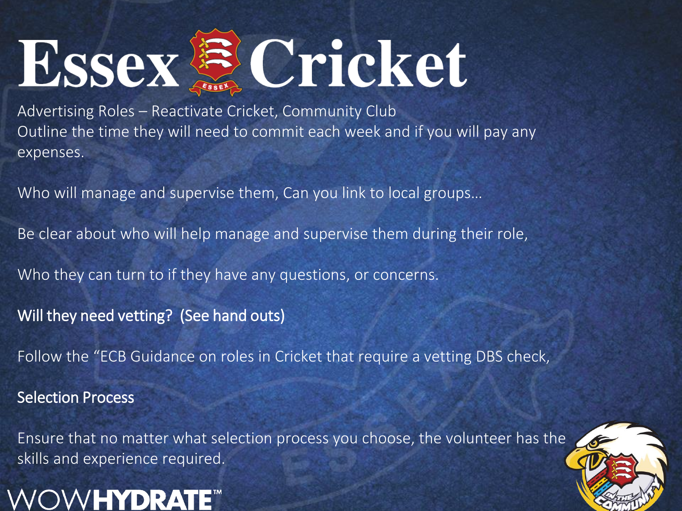# Essex & Cricket

Advertising Roles – Reactivate Cricket, Community Club Outline the time they will need to commit each week and if you will pay any expenses.

Who will manage and supervise them, Can you link to local groups…

Be clear about who will help manage and supervise them during their role,

Who they can turn to if they have any questions, or concerns.

Will they need vetting? (See hand outs)

Follow the "ECB Guidance on roles in Cricket that require a vetting DBS check,

Selection Process

Ensure that no matter what selection process you choose, the volunteer has the skills and experience required.



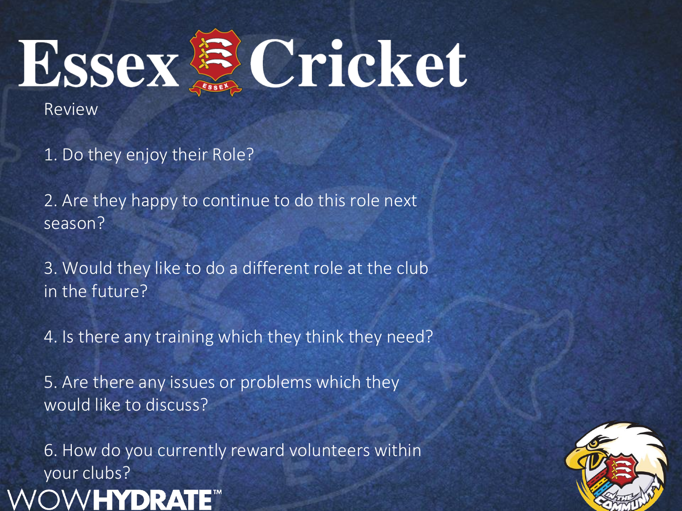

Review

1. Do they enjoy their Role?

2. Are they happy to continue to do this role next season?

3. Would they like to do a different role at the club in the future?

4. Is there any training which they think they need?

5. Are there any issues or problems which they would like to discuss?

6. How do you currently reward volunteers within your clubs?

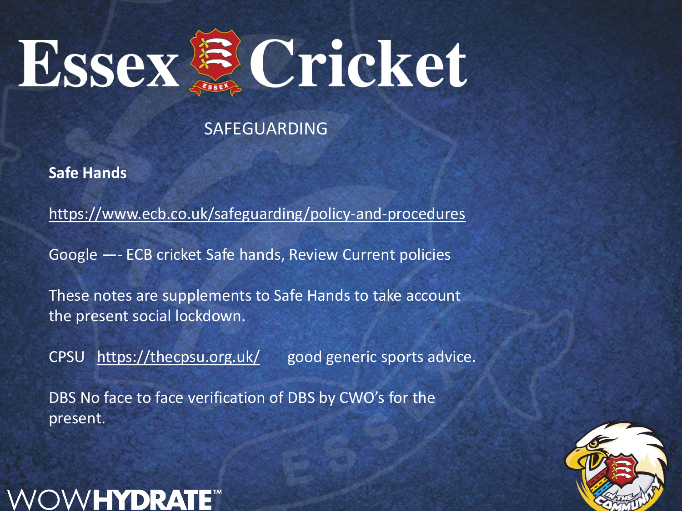

**Safe Hands**

https://www.ecb.co.uk/safeguarding/policy-and-procedures

Google —- ECB cricket Safe hands, Review Current policies

These notes are supplements to Safe Hands to take account the present social lockdown.

CPSU <https://thecpsu.org.uk/> good generic sports advice.

DBS No face to face verification of DBS by CWO's for the present.



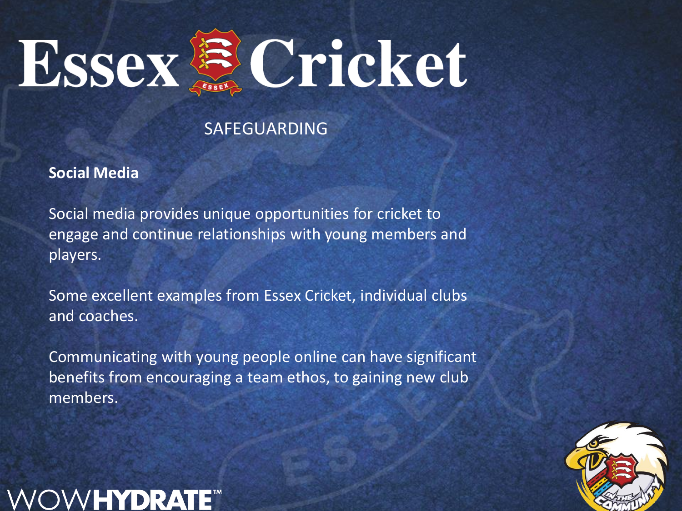

**Social Media**

HYDR

Social media provides unique opportunities for cricket to engage and continue relationships with young members and players.

Some excellent examples from Essex Cricket, individual clubs and coaches.

Communicating with young people online can have significant benefits from encouraging a team ethos, to gaining new club members.

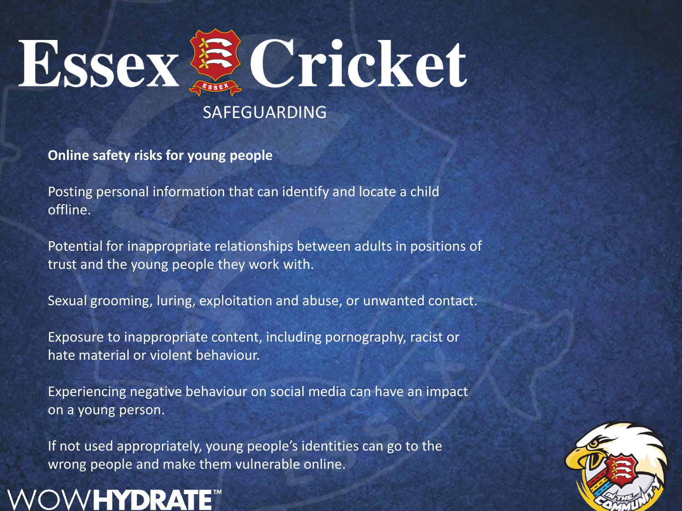

**Online safety risks for young people**

Posting personal information that can identify and locate a child offline.

Potential for inappropriate relationships between adults in positions of trust and the young people they work with.

Sexual grooming, luring, exploitation and abuse, or unwanted contact.

Exposure to inappropriate content, including pornography, racist or hate material or violent behaviour.

Experiencing negative behaviour on social media can have an impact on a young person.

If not used appropriately, young people's identities can go to the wrong people and make them vulnerable online.



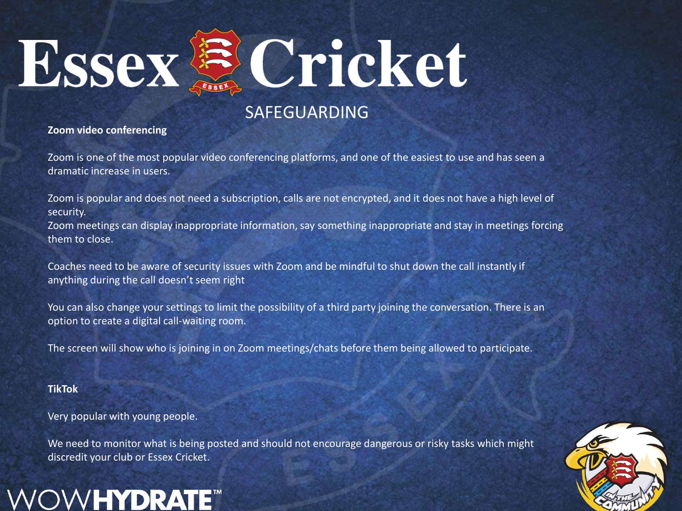

#### **Zoom video conferencing**

Zoom is one of the most popular video conferencing platforms, and one of the easiest to use and has seen a dramatic increase in users.

Zoom is popular and does not need a subscription, calls are not encrypted, and it does not have a high level of security.

Zoom meetings can display inappropriate information, say something inappropriate and stay in meetings forcing them to close.

Coaches need to be aware of security issues with Zoom and be mindful to shut down the call instantly if anything during the call doesn't seem right

You can also change your settings to limit the possibility of a third party joining the conversation. There is an option to create a digital call-waiting room.

The screen will show who is joining in on Zoom meetings/chats before them being allowed to participate.

#### **TikTok**

Very popular with young people.

**OW<b>HYDRAT** 

We need to monitor what is being posted and should not encourage dangerous or risky tasks which might discredit your club or Essex Cricket.

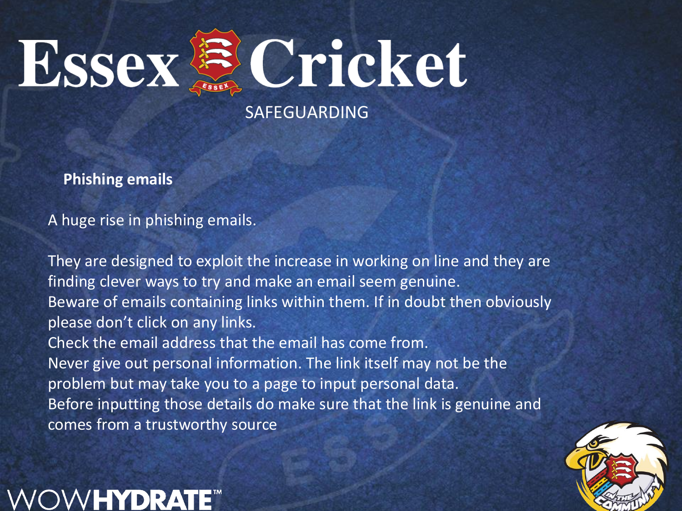

**Phishing emails**

A huge rise in phishing emails.

**VHYDRA** 

They are designed to exploit the increase in working on line and they are finding clever ways to try and make an email seem genuine. Beware of emails containing links within them. If in doubt then obviously please don't click on any links. Check the email address that the email has come from. Never give out personal information. The link itself may not be the problem but may take you to a page to input personal data. Before inputting those details do make sure that the link is genuine and comes from a trustworthy source

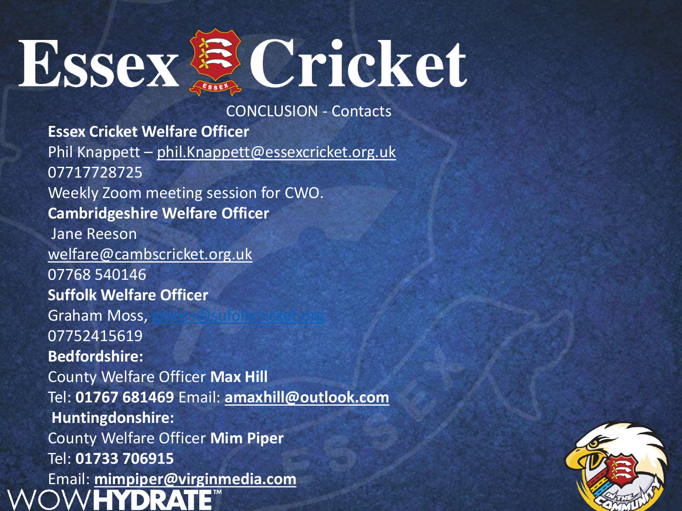

CONCLUSION - Contacts

**Essex Cricket Welfare Officer** Phil Knappett – [phil.Knappett@essexcricket.org.uk](mailto:phil.Knappett@essexcricket.org.uk) 07717728725 Weekly Zoom meeting session for CWO. **Cambridgeshire Welfare Officer** Jane Reeson [welfare@cambscricket.org.uk](mailto:welfare@cambscricket.org.uk) 07768 540146 **Suffolk Welfare Officer** Graham Moss, 07752415619 **Bedfordshire:** County Welfare Officer **Max Hill** Tel: **01767 681469** Email: **[amaxhill@outlook.com](mailto:amaxhill@outlook.com) Huntingdonshire:** County Welfare Officer **Mim Piper** Tel: **01733 706915** Email: **[mimpiper@virginmedia.com](mailto:mimpiper@virginmedia.com)**